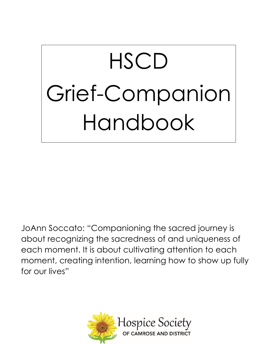# **HSCD** Grief-Companion Handbook

JoAnn Soccato: "Companioning the sacred journey is about recognizing the sacredness of and uniqueness of each moment. It is about cultivating attention to each moment, creating intention, learning how to show up fully for our lives"

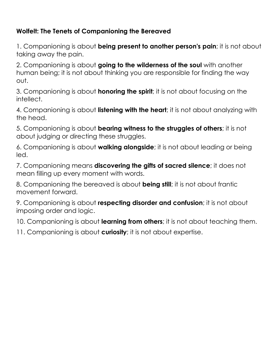## **Wolfelt: The Tenets of Companioning the Bereaved**

1. Companioning is about **being present to another person's pain**; it is not about taking away the pain.

2. Companioning is about **going to the wilderness of the soul** with another human being; it is not about thinking you are responsible for finding the way out.

3. Companioning is about **honoring the spirit**; it is not about focusing on the intellect.

4. Companioning is about **listening with the heart**; it is not about analyzing with the head.

5. Companioning is about **bearing witness to the struggles of others**; it is not about judging or directing these struggles.

6. Companioning is about **walking alongside**; it is not about leading or being led.

7. Companioning means **discovering the gifts of sacred silence**; it does not mean filling up every moment with words.

8. Companioning the bereaved is about **being still**; it is not about frantic movement forward.

9. Companioning is about **respecting disorder and confusion**; it is not about imposing order and logic.

10. Companioning is about **learning from others**; it is not about teaching them.

11. Companioning is about **curiosity**; it is not about expertise.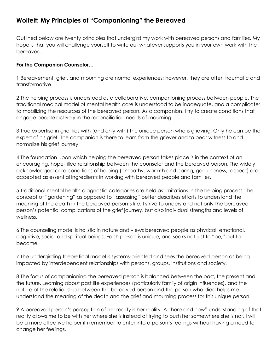## **Wolfelt: My Principles of "Companioning" the Bereaved**

Outlined below are twenty principles that undergird my work with bereaved persons and families. My hope is that you will challenge yourself to write out whatever supports you in your own work with the bereaved.

#### **For the Companion Counselor…**

1 Bereavement, grief, and mourning are normal experiences; however, they are often traumatic and transformative.

2 The helping process is understood as a collaborative, companioning process between people. The traditional medical model of mental health care is understood to be inadequate, and a complicater to mobilizing the resources of the bereaved person. As a companion, i try to create conditions that engage people actively in the reconciliation needs of mourning.

3 True expertise in grief lies with (and only with) the unique person who is grieving. Only he can be the expert of his grief. The companion is there to learn from the griever and to bear witness to and normalize his grief journey.

4 The foundation upon which helping the bereaved person takes place is in the context of an encouraging, hope-filled relationship between the counselor and the bereaved person. The widely acknowledged core conditions of helping (empathy, warmth and caring, genuineness, respect) are accepted as essential ingredients in working with bereaved people and families.

5 Traditional mental health diagnostic categories are held as limitations in the helping process. The concept of "gardening" as opposed to "assessing" better describes efforts to understand the meaning of the death in the bereaved person's life. I strive to understand not only the bereaved person's potential complications of the grief journey, but also individual strengths and levels of wellness.

6 The counseling model is holistic in nature and views bereaved people as physical, emotional, cognitive, social and spiritual beings. Each person is unique, and seeks not just to "be," but to become.

7 The undergirding theoretical model is systems-oriented and sees the bereaved person as being impacted by interdependent relationships with persons, groups, institutions and society.

8 The focus of companioning the bereaved person is balanced between the past, the present and the future. Learning about past life experiences (particularly family of origin influences), and the nature of the relationship between the bereaved person and the person who died helps me understand the meaning of the death and the grief and mourning process for this unique person.

9 A bereaved person's perception of her reality is her reality. A "here and now" understanding of that reality allows me to be with her where she is instead of trying to push her somewhere she is not. I will be a more effective helper if i remember to enter into a person's feelings without having a need to change her feelings.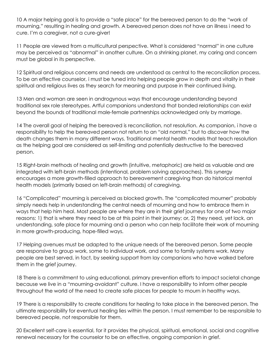10 A major helping goal is to provide a "safe place" for the bereaved person to do the "work of mourning," resulting in healing and growth. A bereaved person does not have an illness i need to cure. I'm a caregiver, not a cure-giver!

11 People are viewed from a multicultural perspective. What is considered "normal" in one culture may be perceived as "abnormal" in another culture. On a shrinking planet, my caring and concern must be global in its perspective.

12 Spiritual and religious concerns and needs are understood as central to the reconciliation process. To be an effective counselor, i must be tuned into helping people grow in depth and vitality in their spiritual and religious lives as they search for meaning and purpose in their continued living.

13 Men and woman are seen in androgynous ways that encourage understanding beyond traditional sex role stereotypes. Artful companions understand that bonded relationships can exist beyond the bounds of traditional male-female partnerships acknowledged only by marriage.

14 The overall goal of helping the bereaved is reconciliation, not resolution. As companion, i have a responsibility to help the bereaved person not return to an "old normal," but to discover how the death changes them in many different ways. Traditional mental health models that teach resolution as the helping goal are considered as self-limiting and potentially destructive to the bereaved person.

15 Right-brain methods of healing and growth (intuitive, metaphoric) are held as valuable and are integrated with left-brain methods (intentional, problem solving approaches). This synergy encourages a more growth-filled approach to bereavement caregiving than do historical mental health models (primarily based on left-brain methods) of caregiving.

16 "Complicated" mourning is perceived as blocked growth. The "complicated mourner" probably simply needs help in understanding the central needs of mourning and how to embrace them in ways that help him heal. Most people are where they are in their grief journeys for one of two major reasons: 1) that is where they need to be at this point in their journey; or, 2) they need, yet lack, an understanding, safe place for mourning and a person who can help facilitate their work of mourning in more growth-producing, hope-filled ways.

17 Helping avenues must be adapted to the unique needs of the bereaved person. Some people are responsive to group work, some to individual work, and some to family systems work. Many people are best served, in fact, by seeking support from lay companions who have walked before them in the grief journey.

18 There is a commitment to using educational, primary prevention efforts to impact societal change because we live in a "mourning-avoidant" culture. I have a responsibility to inform other people throughout the world of the need to create safe places for people to mourn in healthy ways.

19 There is a responsibility to create conditions for healing to take place in the bereaved person. The ultimate responsibility for eventual healing lies within the person. I must remember to be responsible to bereaved people, not responsible for them.

20 Excellent self-care is essential, for it provides the physical, spiritual, emotional, social and cognitive renewal necessary for the counselor to be an effective, ongoing companion in grief.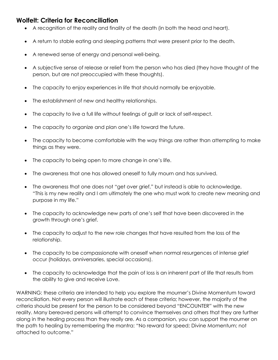### **Wolfelt: Criteria for Reconciliation**

- A recognition of the reality and finality of the death (in both the head and heart).
- A return to stable eating and sleeping patterns that were present prior to the death.
- A renewed sense of energy and personal well-being.
- A subjective sense of release or relief from the person who has died (they have thought of the person, but are not preoccupied with these thoughts).
- The capacity to enjoy experiences in life that should normally be enjoyable.
- The establishment of new and healthy relationships.
- The capacity to live a full life without feelings of guilt or lack of self-respect.
- The capacity to organize and plan one's life toward the future.
- The capacity to become comfortable with the way things are rather than attempting to make things as they were.
- The capacity to being open to more change in one's life.
- The awareness that one has allowed oneself to fully mourn and has survived.
- The awareness that one does not "get over grief," but instead is able to acknowledge, "This is my new reality and I am ultimately the one who must work to create new meaning and purpose in my life."
- The capacity to acknowledge new parts of one's self that have been discovered in the growth through one's grief.
- The capacity to adjust to the new role changes that have resulted from the loss of the relationship.
- The capacity to be compassionate with oneself when normal resurgences of intense grief occur (holidays, anniversaries, special occasions).
- The capacity to acknowledge that the pain of loss is an inherent part of life that results from the ability to give and receive Love.

WARNING: these criteria are intended to help you explore the mourner's Divine Momentum toward reconciliation. Not every person will illustrate each of these criteria; however, the majority of the criteria should be present for the person to be considered beyond "ENCOUNTER" with the new reality. Many bereaved persons will attempt to convince themselves and others that they are further along in the healing process than they really are. As a companion, you can support the mourner on the path to healing by remembering the mantra: "No reward for speed; Divine Momentum; not attached to outcome."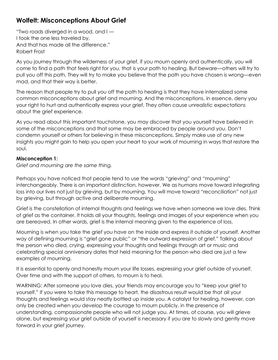## **Wolfelt: Misconceptions About Grief**

"Two roads diverged in a wood, and I — I took the one less traveled by, And that has made all the difference." Robert Frost

As you journey through the wilderness of your grief, if you mourn openly and authentically, you will come to find a path that feels right for you, that is your path to healing. But beware—others will try to pull you off this path. They will try to make you believe that the path you have chosen is wrong—even mad, and that their way is better.

The reason that people try to pull you off the path to healing is that they have internalized some common misconceptions about grief and mourning. And the misconceptions, in essence, deny you your right to hurt and authentically express your grief. They often cause unrealistic expectations about the grief experience.

As you read about this important touchstone, you may discover that you yourself have believed in some of the misconceptions and that some may be embraced by people around you. Don't condemn yourself or others for believing in these misconceptions. Simply make use of any new insights you might gain to help you open your heart to your work of mourning in ways that restore the soul.

#### **Misconception 1:**

*Grief and mourning are the same thing.*

Perhaps you have noticed that people tend to use the words "grieving" and "mourning" interchangeably. There is an important distinction, however. We as humans move toward integrating loss into our lives not just by grieving, but by mourning. You will move toward "reconciliation" not just by grieving, but through active and deliberate mourning.

Grief is the constellation of internal thoughts and feelings we have when someone we love dies. Think of grief as the container. It holds all your thoughts, feelings and images of your experience when you are bereaved. In other words, grief is the internal meaning given to the experience of loss.

Mourning is when you take the grief you have on the inside and express it outside of yourself. Another way of defining mourning is "grief gone public" or "the outward expression of grief." Talking about the person who died, crying, expressing your thoughts and feelings through art or music and celebrating special anniversary dates that held meaning for the person who died are just a few examples of mourning.

It is essential to openly and honestly mourn your life losses, expressing your grief outside of yourself. Over time and with the support of others, to mourn is to heal.

WARNING: After someone you love dies, your friends may encourage you to "keep your grief to yourself." If you were to take this message to heart, the disastrous result would be that all your thoughts and feelings would stay neatly bottled up inside you. A catalyst for healing, however, can only be created when you develop the courage to mourn publicly, in the presence of understanding, compassionate people who will not judge you. At times, of course, you will grieve alone, but expressing your grief outside of yourself is necessary if you are to slowly and gently move forward in your grief journey.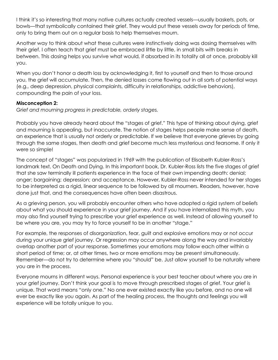I think it's so interesting that many native cultures actually created vessels—usually baskets, pots, or bowls—that symbolically contained their grief. They would put these vessels away for periods of time, only to bring them out on a regular basis to help themselves mourn.

Another way to think about what these cultures were instinctively doing was dosing themselves with their grief. I often teach that grief must be embraced little by little, in small bits with breaks in between. This dosing helps you survive what would, if absorbed in its totality all at once, probably kill you.

When you don't honor a death loss by acknowledging it, first to yourself and then to those around you, the grief will accumulate. Then, the denied losses come flowing out in all sorts of potential ways (e.g., deep depression, physical complaints, difficulty in relationships, addictive behaviors), compounding the pain of your loss.

#### **Misconception 2:**

*Grief and mourning progress in predictable, orderly stages.*

Probably you have already heard about the "stages of grief." This type of thinking about dying, grief and mourning is appealing, but inaccurate. The notion of stages helps people make sense of death, an experience that is usually not orderly or predictable. If we believe that everyone grieves by going through the same stages, then death and grief become much less mysterious and fearsome. If only it were so simple!

The concept of "stages" was popularized in 1969 with the publication of Elisabeth Kubler-Ross's landmark text, On Death and Dying. In this important book, Dr. Kubler-Ross lists the five stages of grief that she saw terminally ill patients experience in the face of their own impending death: denial; anger; bargaining; depression; and acceptance. However, Kubler-Ross never intended for her stages to be interpreted as a rigid, linear sequence to be followed by all mourners. Readers, however, have done just that, and the consequences have often been disastrous.

As a grieving person, you will probably encounter others who have adopted a rigid system of beliefs about what you should experience in your grief journey. And if you have internalized this myth, you may also find yourself trying to prescribe your grief experience as well. Instead of allowing yourself to be where you are, you may try to force yourself to be in another "stage."

For example, the responses of disorganization, fear, guilt and explosive emotions may or not occur during your unique grief journey. Or regression may occur anywhere along the way and invariably overlap another part of your response. Sometimes your emotions may follow each other within a short period of time; or, at other times, two or more emotions may be present simultaneously. Remember—do not try to determine where you "should" be. Just allow yourself to be naturally where you are in the process.

Everyone mourns in different ways. Personal experience is your best teacher about where you are in your grief journey. Don't think your goal is to move through prescribed stages of grief. Your grief is unique. That word means "only one." No one ever existed exactly like you before, and no one will ever be exactly like you again. As part of the healing process, the thoughts and feelings you will experience will be totally unique to you.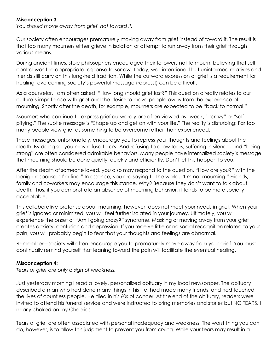#### **Misconception 3.**

*You should move away from grief, not toward it.*

Our society often encourages prematurely moving away from grief instead of toward it. The result is that too many mourners either grieve in isolation or attempt to run away from their grief through various means.

During ancient times, stoic philosophers encouraged their followers not to mourn, believing that selfcontrol was the appropriate response to sorrow. Today, well-intentioned but uninformed relatives and friends still carry on this long-held tradition. While the outward expression of grief is a requirement for healing, overcoming society's powerful message (repress!) can be difficult.

As a counselor, I am often asked, "How long should grief last?" This question directly relates to our culture's impatience with grief and the desire to move people away from the experience of mourning. Shortly after the death, for example, mourners are expected to be "back to normal."

Mourners who continue to express grief outwardly are often viewed as "weak," "crazy" or "selfpitying." The subtle message is "Shape up and get on with your life." The reality is disturbing: Far too many people view grief as something to be overcome rather than experienced.

These messages, unfortunately, encourage you to repress your thoughts and feelings about the death. By doing so, you may refuse to cry. And refusing to allow tears, suffering in silence, and "being strong" are often considered admirable behaviors. Many people have internalized society's message that mourning should be done quietly, quickly and efficiently. Don't let this happen to you.

After the death of someone loved, you also may respond to the question, "How are you?" with the benign response, "I'm fine." In essence, you are saying to the world, "I'm not mourning." Friends, family and coworkers may encourage this stance. Why? Because they don't want to talk about death. Thus, if you demonstrate an absence of mourning behavior, it tends to be more socially acceptable.

This collaborative pretense about mourning, however, does not meet your needs in grief. When your grief is ignored or minimized, you will feel further isolated in your journey. Ultimately, you will experience the onset of "Am I going crazy?" syndrome. Masking or moving away from your grief creates anxiety, confusion and depression. If you receive little or no social recognition related to your pain, you will probably begin to fear that your thoughts and feelings are abnormal.

Remember—society will often encourage you to prematurely move away from your grief. You must continually remind yourself that leaning toward the pain will facilitate the eventual healing.

#### **Misconception 4:**

*Tears of grief are only a sign of weakness.*

Just yesterday morning I read a lovely, personalized obituary in my local newspaper. The obituary described a man who had done many things in his life, had made many friends, and had touched the lives of countless people. He died in his 60s of cancer. At the end of the obituary, readers were invited to attend his funeral service and were instructed to bring memories and stories but NO TEARS. I nearly choked on my Cheerios.

Tears of grief are often associated with personal inadequacy and weakness. The worst thing you can do, however, is to allow this judgment to prevent you from crying. While your tears may result in a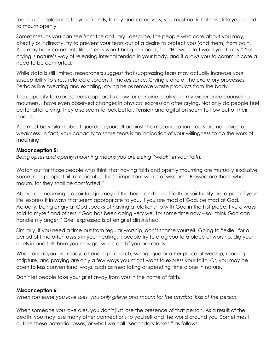feeling of helplessness for your friends, family and caregivers, you must not let others stifle your need to mourn openly.

Sometimes, as you can see from the obituary I describe, the people who care about you may, directly or indirectly, try to prevent your tears out of a desire to protect you (and them) from pain. You may hear comments like, "Tears won't bring him back," or "He wouldn't want you to cry." Yet crying is nature's way of releasing internal tension in your body, and it allows you to communicate a need to be comforted.

While data is still limited, researchers suggest that suppressing tears may actually increase your susceptibility to stress-related disorders. It makes sense. Crying is one of the excretory processes. Perhaps like sweating and exhaling, crying helps remove waste products from the body.

The capacity to express tears appears to allow for genuine healing. In my experience counseling mourners, I have even observed changes in physical expression after crying. Not only do people feel better after crying, they also seem to look better. Tension and agitation seem to flow out of their bodies.

You must be vigilant about guarding yourself against this misconception. Tears are not a sign of weakness. In fact, your capacity to share tears is an indication of your willingness to do the work of mourning.

#### **Misconception 5:**

*Being upset and openly mourning means you are being "weak" in your faith.*

Watch out for those people who think that having faith and openly mourning are mutually exclusive. Sometimes people fail to remember those important words of wisdom: "Blessed are those who mourn, for they shall be comforted."

Above all, mourning is a spiritual journey of the heart and soul. If faith or spirituality are a part of your life, express it in ways that seem appropriate to you. If you are mad at God, be mad at God. Actually, being angry at God speaks of having a relationship with God in the first place. I've always said to myself and others, "God has been doing very well for some time now – so I think God can handle my anger." Grief expressed is often grief diminished.

Similarly, if you need a time-out from regular worship, don't shame yourself. Going to "exile" for a period of time often assists in your healing. If people try to drag you to a place of worship, dig your heels in and tell them you may go, when and if you are ready.

When and if you are ready, attending a church, synagogue or other place of worship, reading scripture, and praying are only a few ways you might want to express your faith. Or, you may be open to less conventional ways, such as meditating or spending time alone in nature.

Don't let people take your grief away from you in the name of faith.

#### **Misconception 6:**

*When someone you love dies, you only grieve and mourn for the physical loss of the person.*

When someone you love dies, you don't just lose the presence of that person. As a result of the death, you may lose many other connections to yourself and the world around you. Sometimes I outline these potential losses, or what we call "secondary losses," as follows: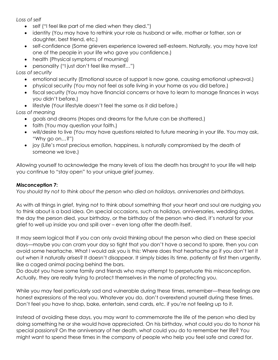*Loss of self*

- self ("I feel like part of me died when they died.")
- identity (You may have to rethink your role as husband or wife, mother or father, son or daughter, best friend, etc.)
- self-confidence (Some grievers experience lowered self-esteem. Naturally, you may have lost one of the people in your life who gave you confidence.)
- health (Physical symptoms of mourning)
- personality ("I just don't feel like myself...")

*Loss of security*

- emotional security (Emotional source of support is now gone, causing emotional upheaval.)
- physical security (You may not feel as safe living in your home as you did before.)
- fiscal security (You may have financial concerns or have to learn to manage finances in ways you didn't before.)
- lifestyle (Your lifestyle doesn't feel the same as it did before.)

*Loss of meaning*

- goals and dreams (Hopes and dreams for the future can be shattered.)
- faith (You may question your faith.)
- will/desire to live (You may have questions related to future meaning in your life. You may ask, "Why go on…?")
- joy (Life's most precious emotion, happiness, is naturally compromised by the death of someone we love.)

Allowing yourself to acknowledge the many levels of loss the death has brought to your life will help you continue to "stay open" to your unique grief journey.

#### **Misconception 7:**

*You should try not to think about the person who died on holidays, anniversaries and birthdays.*

As with all things in grief, trying not to think about something that your heart and soul are nudging you to think about is a bad idea. On special occasions, such as holidays, anniversaries, wedding dates, the day the person died, your birthday, or the birthday of the person who died, it's natural for your grief to well up inside you and spill over – even long after the death itself.

It may seem logical that if you can only avoid thinking about the person who died on these special days—maybe you can cram your day so tight that you don't have a second to spare, then you can avoid some heartache. What I would ask you is this: Where does that heartache go if you don't let it out when it naturally arises? It doesn't disappear. It simply bides its time, patiently at first then urgently, like a caged animal pacing behind the bars.

Do doubt you have some family and friends who may attempt to perpetuate this misconception. Actually, they are really trying to protect themselves in the name of protecting you.

While you may feel particularly sad and vulnerable during these times, remember—these feelings are honest expressions of the real you. Whatever you do, don't overextend yourself during these times. Don't feel you have to shop, bake, entertain, send cards, etc. if you're not feeling up to it.

Instead of avoiding these days, you may want to commemorate the life of the person who died by doing something he or she would have appreciated. On his birthday, what could you do to honor his special passions? On the anniversary of her death, what could you do to remember her life? You might want to spend these times in the company of people who help you feel safe and cared for.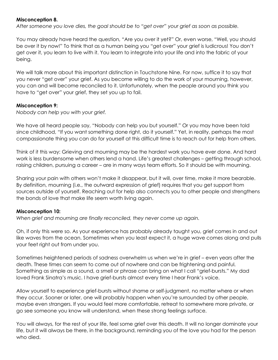#### **Misconception 8.**

*After someone you love dies, the goal should be to "get over" your grief as soon as possible.*

You may already have heard the question, "Are you over it yet?" Or, even worse, "Well, you should be over it by now!" To think that as a human being you "get over" your grief is ludicrous! You don't get over it, you learn to live with it. You learn to integrate into your life and into the fabric of your being.

We will talk more about this important distinction in Touchstone Nine. For now, suffice it to say that you never "get over" your grief. As you become willing to do the work of your mourning, however, you can and will become reconciled to it. Unfortunately, when the people around you think you have to "get over" your grief, they set you up to fail.

#### **Misconception 9:**

*Nobody can help you with your grief.*

We have all heard people say, "Nobody can help you but yourself." Or you may have been told since childhood, "If you want something done right, do it yourself." Yet, in reality, perhaps the most compassionate thing you can do for yourself at this difficult time is to reach out for help from others.

Think of it this way: Grieving and mourning may be the hardest work you have ever done. And hard work is less burdensome when others lend a hand. Life's greatest challenges – getting through school, raising children, pursuing a career – are in many ways team efforts. So it should be with mourning.

Sharing your pain with others won't make it disappear, but it will, over time, make it more bearable. By definition, mourning (i.e., the outward expression of grief) requires that you get support from sources outside of yourself. Reaching out for help also connects you to other people and strengthens the bonds of love that make life seem worth living again.

#### **Misconception 10:**

*When grief and mourning are finally reconciled, they never come up again.*

Oh, if only this were so. As your experience has probably already taught you, grief comes in and out like waves from the ocean. Sometimes when you least expect it, a huge wave comes along and pulls your feet right out from under you.

Sometimes heightened periods of sadness overwhelm us when we're in grief – even years after the death. These times can seem to come out of nowhere and can be frightening and painful. Something as simple as a sound, a smell or phrase can bring on what I call "grief-bursts." My dad loved Frank Sinatra's music. I have grief-bursts almost every time I hear Frank's voice.

Allow yourself to experience grief-bursts without shame or self-judgment, no matter where or when they occur. Sooner or later, one will probably happen when you're surrounded by other people, maybe even strangers. If you would feel more comfortable, retreat to somewhere more private, or go see someone you know will understand, when these strong feelings surface.

You will always, for the rest of your life, feel some grief over this death. It will no longer dominate your life, but it will always be there, in the background, reminding you of the love you had for the person who died.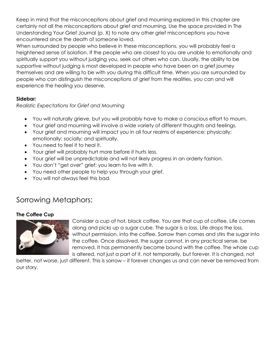Keep in mind that the misconceptions about grief and mourning explored in this chapter are certainly not all the misconceptions about grief and mourning. Use the space provided in The Understanding Your Grief Journal (p. X) to note any other grief misconceptions you have encountered since the death of someone loved.

When surrounded by people who believe in these misconceptions, you will probably feel a heightened sense of isolation. If the people who are closest to you are unable to emotionally and spiritually support you without judging you, seek out others who can. Usually, the ability to be supportive without judging is most developed in people who have been on a grief journey themselves and are willing to be with you during this difficult time. When you are surrounded by people who can distinguish the misconceptions of grief from the realities, you can and will experience the healing you deserve.

#### **Sidebar:**

*Realistic Expectations for Grief and Mourning*

- You will naturally grieve, but you will probably have to make a conscious effort to mourn.
- Your grief and mourning will involve a wide variety of different thoughts and feelings.
- Your grief and mourning will impact you in all four realms of experience: physically; emotionally; socially; and spiritually.
- You need to feel it to heal it.
- Your grief will probably hurt more before it hurts less.
- Your grief will be unpredictable and will not likely progress in an orderly fashion.
- You don't "get over" grief; you learn to live with it.
- You need other people to help you through your grief.
- You will not always feel this bad.

## Sorrowing Metaphors:

#### **The Coffee Cup**



Consider a cup of hot, black coffee. You are that cup of coffee. Life comes along and picks up a sugar cube. The sugar is a loss. Life drops the loss, without permission, into the coffee. Sorrow then comes and stirs the sugar into the coffee. Once dissolved, the sugar cannot, in any practical sense, be removed. It has permanently become bound with the coffee. The whole cup is altered, not just a part of it, not temporarily, but forever. It is changed, not

better, not worse, just different. This is sorrow – it forever changes us and can never be removed from our story.